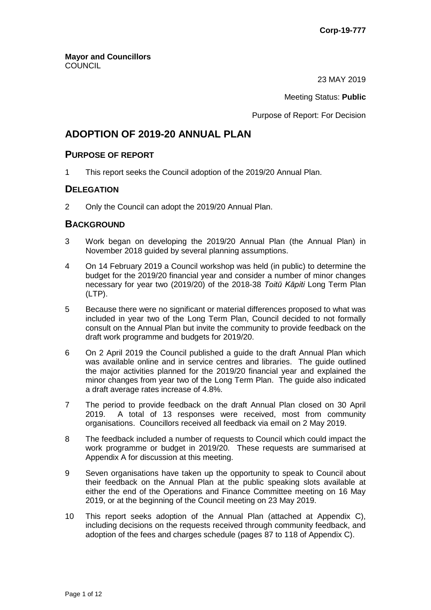23 MAY 2019

Meeting Status: **Public**

Purpose of Report: For Decision

## **ADOPTION OF 2019-20 ANNUAL PLAN**

#### **PURPOSE OF REPORT**

1 This report seeks the Council adoption of the 2019/20 Annual Plan.

## **DELEGATION**

2 Only the Council can adopt the 2019/20 Annual Plan.

## **BACKGROUND**

- 3 Work began on developing the 2019/20 Annual Plan (the Annual Plan) in November 2018 guided by several planning assumptions.
- 4 On 14 February 2019 a Council workshop was held (in public) to determine the budget for the 2019/20 financial year and consider a number of minor changes necessary for year two (2019/20) of the 2018-38 *Toitū Kāpiti* Long Term Plan (LTP).
- 5 Because there were no significant or material differences proposed to what was included in year two of the Long Term Plan, Council decided to not formally consult on the Annual Plan but invite the community to provide feedback on the draft work programme and budgets for 2019/20.
- 6 On 2 April 2019 the Council published a guide to the draft Annual Plan which was available online and in service centres and libraries. The guide outlined the major activities planned for the 2019/20 financial year and explained the minor changes from year two of the Long Term Plan. The guide also indicated a draft average rates increase of 4.8%.
- 7 The period to provide feedback on the draft Annual Plan closed on 30 April 2019. A total of 13 responses were received, most from community organisations. Councillors received all feedback via email on 2 May 2019.
- 8 The feedback included a number of requests to Council which could impact the work programme or budget in 2019/20. These requests are summarised at Appendix A for discussion at this meeting.
- 9 Seven organisations have taken up the opportunity to speak to Council about their feedback on the Annual Plan at the public speaking slots available at either the end of the Operations and Finance Committee meeting on 16 May 2019, or at the beginning of the Council meeting on 23 May 2019.
- 10 This report seeks adoption of the Annual Plan (attached at Appendix C), including decisions on the requests received through community feedback, and adoption of the fees and charges schedule (pages 87 to 118 of Appendix C).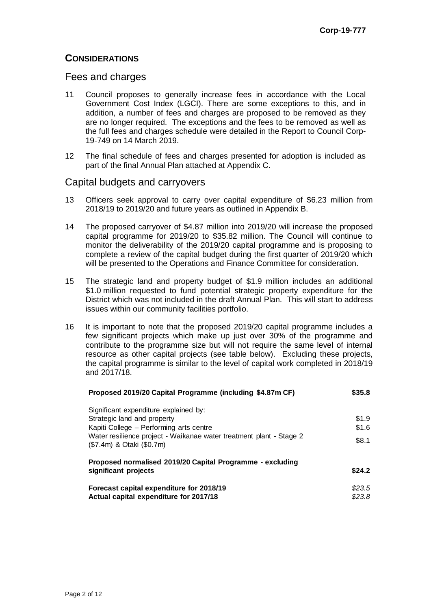## **CONSIDERATIONS**

#### Fees and charges

- 11 Council proposes to generally increase fees in accordance with the Local Government Cost Index (LGCI). There are some exceptions to this, and in addition, a number of fees and charges are proposed to be removed as they are no longer required. The exceptions and the fees to be removed as well as the full fees and charges schedule were detailed in the Report to Council Corp-19-749 on 14 March 2019.
- 12 The final schedule of fees and charges presented for adoption is included as part of the final Annual Plan attached at Appendix C.

#### Capital budgets and carryovers

- 13 Officers seek approval to carry over capital expenditure of \$6.23 million from 2018/19 to 2019/20 and future years as outlined in Appendix B.
- 14 The proposed carryover of \$4.87 million into 2019/20 will increase the proposed capital programme for 2019/20 to \$35.82 million. The Council will continue to monitor the deliverability of the 2019/20 capital programme and is proposing to complete a review of the capital budget during the first quarter of 2019/20 which will be presented to the Operations and Finance Committee for consideration.
- 15 The strategic land and property budget of \$1.9 million includes an additional \$1.0 million requested to fund potential strategic property expenditure for the District which was not included in the draft Annual Plan. This will start to address issues within our community facilities portfolio.
- 16 It is important to note that the proposed 2019/20 capital programme includes a few significant projects which make up just over 30% of the programme and contribute to the programme size but will not require the same level of internal resource as other capital projects (see table below). Excluding these projects, the capital programme is similar to the level of capital work completed in 2018/19 and 2017/18.

| Proposed 2019/20 Capital Programme (including \$4.87m CF)                                        | \$35.8 |
|--------------------------------------------------------------------------------------------------|--------|
| Significant expenditure explained by:                                                            |        |
| Strategic land and property                                                                      | \$1.9  |
| Kapiti College - Performing arts centre                                                          | \$1.6  |
| Water resilience project - Waikanae water treatment plant - Stage 2<br>(\$7.4m) & Otaki (\$0.7m) | \$8.1  |
| Proposed normalised 2019/20 Capital Programme - excluding                                        |        |
| significant projects                                                                             | \$24.2 |
| Forecast capital expenditure for 2018/19                                                         | \$23.5 |
| Actual capital expenditure for 2017/18                                                           | \$23.8 |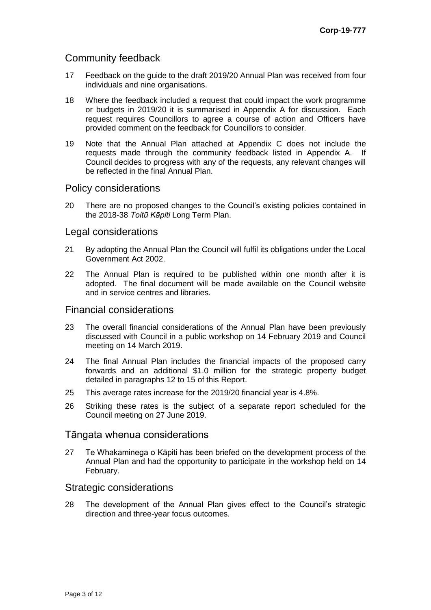## Community feedback

- 17 Feedback on the guide to the draft 2019/20 Annual Plan was received from four individuals and nine organisations.
- 18 Where the feedback included a request that could impact the work programme or budgets in 2019/20 it is summarised in Appendix A for discussion. Each request requires Councillors to agree a course of action and Officers have provided comment on the feedback for Councillors to consider.
- 19 Note that the Annual Plan attached at Appendix C does not include the requests made through the community feedback listed in Appendix A. If Council decides to progress with any of the requests, any relevant changes will be reflected in the final Annual Plan.

#### Policy considerations

20 There are no proposed changes to the Council's existing policies contained in the 2018-38 *Toitū Kāpiti* Long Term Plan.

#### Legal considerations

- 21 By adopting the Annual Plan the Council will fulfil its obligations under the Local Government Act 2002.
- 22 The Annual Plan is required to be published within one month after it is adopted. The final document will be made available on the Council website and in service centres and libraries.

#### Financial considerations

- 23 The overall financial considerations of the Annual Plan have been previously discussed with Council in a public workshop on 14 February 2019 and Council meeting on 14 March 2019.
- 24 The final Annual Plan includes the financial impacts of the proposed carry forwards and an additional \$1.0 million for the strategic property budget detailed in paragraphs 12 to 15 of this Report.
- 25 This average rates increase for the 2019/20 financial year is 4.8%.
- 26 Striking these rates is the subject of a separate report scheduled for the Council meeting on 27 June 2019.

#### Tāngata whenua considerations

27 Te Whakaminega o Kāpiti has been briefed on the development process of the Annual Plan and had the opportunity to participate in the workshop held on 14 February.

#### Strategic considerations

28 The development of the Annual Plan gives effect to the Council's strategic direction and three-year focus outcomes.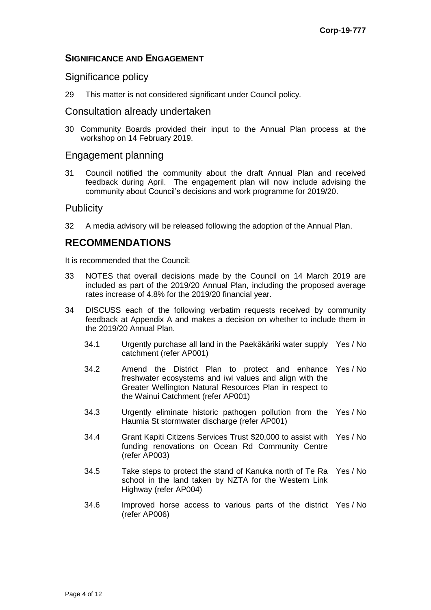## **SIGNIFICANCE AND ENGAGEMENT**

#### Significance policy

29 This matter is not considered significant under Council policy*.*

## Consultation already undertaken

30 Community Boards provided their input to the Annual Plan process at the workshop on 14 February 2019.

## Engagement planning

31 Council notified the community about the draft Annual Plan and received feedback during April. The engagement plan will now include advising the community about Council's decisions and work programme for 2019/20.

## **Publicity**

32 A media advisory will be released following the adoption of the Annual Plan.

## **RECOMMENDATIONS**

It is recommended that the Council:

- 33 NOTES that overall decisions made by the Council on 14 March 2019 are included as part of the 2019/20 Annual Plan, including the proposed average rates increase of 4.8% for the 2019/20 financial year.
- 34 DISCUSS each of the following verbatim requests received by community feedback at Appendix A and makes a decision on whether to include them in the 2019/20 Annual Plan.
	- 34.1 Urgently purchase all land in the Paekākāriki water supply Yes / No catchment (refer AP001)
	- 34.2 Amend the District Plan to protect and enhance Yes / No freshwater ecosystems and iwi values and align with the Greater Wellington Natural Resources Plan in respect to the Wainui Catchment (refer AP001)
	- 34.3 Urgently eliminate historic pathogen pollution from the Yes / No Haumia St stormwater discharge (refer AP001)
	- 34.4 Grant Kapiti Citizens Services Trust \$20,000 to assist with Yes / No funding renovations on Ocean Rd Community Centre (refer AP003)
	- 34.5 Take steps to protect the stand of Kanuka north of Te Ra Yes / No school in the land taken by NZTA for the Western Link Highway (refer AP004)
	- 34.6 Improved horse access to various parts of the district Yes / No(refer AP006)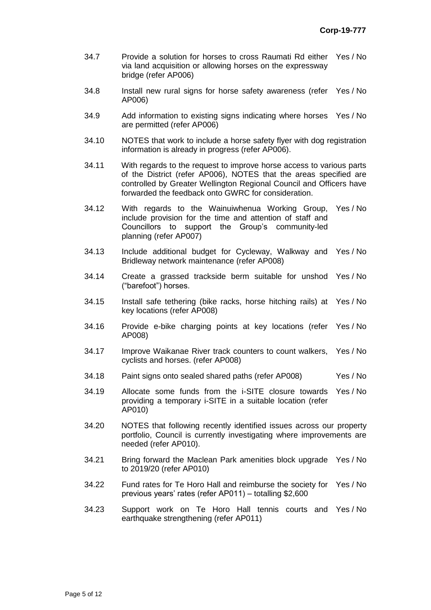- 34.7 Provide a solution for horses to cross Raumati Rd either Yes / No via land acquisition or allowing horses on the expressway bridge (refer AP006)
- 34.8 Install new rural signs for horse safety awareness (refer Yes / No AP006)
- 34.9 Add information to existing signs indicating where horses Yes / No are permitted (refer AP006)
- 34.10 NOTES that work to include a horse safety flyer with dog registration information is already in progress (refer AP006).
- 34.11 With regards to the request to improve horse access to various parts of the District (refer AP006), NOTES that the areas specified are controlled by Greater Wellington Regional Council and Officers have forwarded the feedback onto GWRC for consideration.
- 34.12 With regards to the Wainuiwhenua Working Group, Yes / No include provision for the time and attention of staff and Councillors to support the Group's community-led planning (refer AP007)
- 34.13 Include additional budget for Cycleway, Walkway and Yes / No Bridleway network maintenance (refer AP008)
- 34.14 Create a grassed trackside berm suitable for unshod Yes / No ("barefoot") horses.
- 34.15 Install safe tethering (bike racks, horse hitching rails) at Yes / No key locations (refer AP008)
- 34.16 Provide e-bike charging points at key locations (refer Yes / No AP008)
- 34.17 Improve Waikanae River track counters to count walkers, Yes / No cyclists and horses. (refer AP008)
- 34.18 Paint signs onto sealed shared paths (refer AP008) Yes / No
- 34.19 Allocate some funds from the i-SITE closure towards Yes / No providing a temporary i-SITE in a suitable location (refer AP010)
- 34.20 NOTES that following recently identified issues across our property portfolio, Council is currently investigating where improvements are needed (refer AP010).
- 34.21 Bring forward the Maclean Park amenities block upgrade Yes / No to 2019/20 (refer AP010)
- 34.22 Fund rates for Te Horo Hall and reimburse the society for Yes / No previous years' rates (refer AP011) – totalling \$2,600
- 34.23 Support work on Te Horo Hall tennis courts and Yes / Noearthquake strengthening (refer AP011)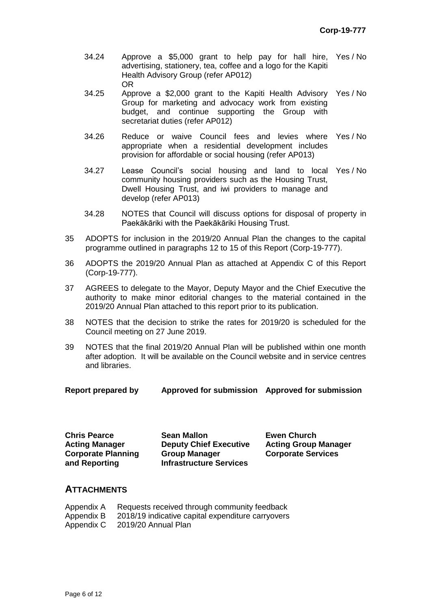- 34.24 Approve a \$5,000 grant to help pay for hall hire, advertising, stationery, tea, coffee and a logo for the Kapiti Health Advisory Group (refer AP012) Yes / No OR
- 34.25 Approve a \$2,000 grant to the Kapiti Health Advisory Yes / No Group for marketing and advocacy work from existing budget, and continue supporting the Group with secretariat duties (refer AP012)
- 34.26 Reduce or waive Council fees and levies where Yes / No appropriate when a residential development includes provision for affordable or social housing (refer AP013)
- 34.27 Lease Council's social housing and land to local Yes / No community housing providers such as the Housing Trust, Dwell Housing Trust, and iwi providers to manage and develop (refer AP013)
- 34.28 NOTES that Council will discuss options for disposal of property in Paekākāriki with the Paekākāriki Housing Trust.
- 35 ADOPTS for inclusion in the 2019/20 Annual Plan the changes to the capital programme outlined in paragraphs 12 to 15 of this Report (Corp-19-777).
- 36 ADOPTS the 2019/20 Annual Plan as attached at Appendix C of this Report (Corp-19-777).
- 37 AGREES to delegate to the Mayor, Deputy Mayor and the Chief Executive the authority to make minor editorial changes to the material contained in the 2019/20 Annual Plan attached to this report prior to its publication.
- 38 NOTES that the decision to strike the rates for 2019/20 is scheduled for the Council meeting on 27 June 2019.
- 39 NOTES that the final 2019/20 Annual Plan will be published within one month after adoption. It will be available on the Council website and in service centres and libraries.
- **Report prepared by Approved for submission Approved for submission**

**Acting Manager Corporate Planning and Reporting**

**Chris Pearce Sean Mallon Ewen Church Deputy Chief Executive Group Manager Infrastructure Services**

**Acting Group Manager Corporate Services**

#### **ATTACHMENTS**

| Appendix A | Requests received through community feedback      |
|------------|---------------------------------------------------|
| Appendix B | 2018/19 indicative capital expenditure carryovers |
| Appendix C | 2019/20 Annual Plan                               |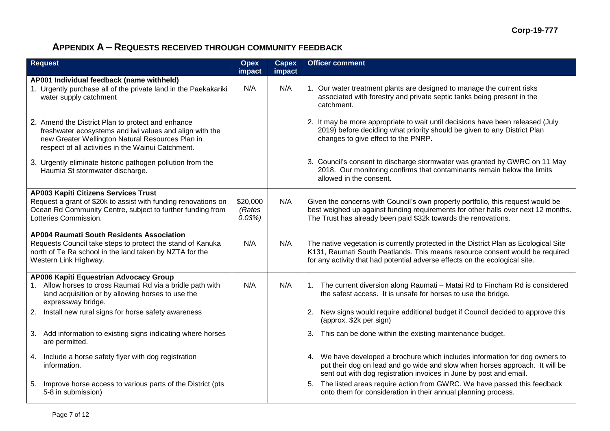# **APPENDIX A – REQUESTS RECEIVED THROUGH COMMUNITY FEEDBACK**

| <b>Request</b>                                                                                                                                                                                                         | <b>Opex</b><br>impact       | <b>Capex</b><br>impact | <b>Officer comment</b>                                                                                                                                                                                                                              |
|------------------------------------------------------------------------------------------------------------------------------------------------------------------------------------------------------------------------|-----------------------------|------------------------|-----------------------------------------------------------------------------------------------------------------------------------------------------------------------------------------------------------------------------------------------------|
| AP001 Individual feedback (name withheld)                                                                                                                                                                              |                             |                        |                                                                                                                                                                                                                                                     |
| 1. Urgently purchase all of the private land in the Paekakariki<br>water supply catchment                                                                                                                              | N/A                         | N/A                    | 1. Our water treatment plants are designed to manage the current risks<br>associated with forestry and private septic tanks being present in the<br>catchment.                                                                                      |
| 2. Amend the District Plan to protect and enhance<br>freshwater ecosystems and iwi values and align with the<br>new Greater Wellington Natural Resources Plan in<br>respect of all activities in the Wainui Catchment. |                             |                        | 2. It may be more appropriate to wait until decisions have been released (July<br>2019) before deciding what priority should be given to any District Plan<br>changes to give effect to the PNRP.                                                   |
| 3. Urgently eliminate historic pathogen pollution from the<br>Haumia St stormwater discharge.                                                                                                                          |                             |                        | 3. Council's consent to discharge stormwater was granted by GWRC on 11 May<br>2018. Our monitoring confirms that contaminants remain below the limits<br>allowed in the consent.                                                                    |
| <b>AP003 Kapiti Citizens Services Trust</b>                                                                                                                                                                            |                             |                        |                                                                                                                                                                                                                                                     |
| Request a grant of \$20k to assist with funding renovations on<br>Ocean Rd Community Centre, subject to further funding from<br>Lotteries Commission.                                                                  | \$20,000<br>(Rates<br>0.03% | N/A                    | Given the concerns with Council's own property portfolio, this request would be<br>best weighed up against funding requirements for other halls over next 12 months.<br>The Trust has already been paid \$32k towards the renovations.              |
| <b>AP004 Raumati South Residents Association</b>                                                                                                                                                                       |                             |                        |                                                                                                                                                                                                                                                     |
| Requests Council take steps to protect the stand of Kanuka<br>north of Te Ra school in the land taken by NZTA for the<br>Western Link Highway.                                                                         | N/A                         | N/A                    | The native vegetation is currently protected in the District Plan as Ecological Site<br>K131, Raumati South Peatlands. This means resource consent would be required<br>for any activity that had potential adverse effects on the ecological site. |
| AP006 Kapiti Equestrian Advocacy Group                                                                                                                                                                                 |                             |                        |                                                                                                                                                                                                                                                     |
| 1. Allow horses to cross Raumati Rd via a bridle path with<br>land acquisition or by allowing horses to use the<br>expressway bridge.                                                                                  | N/A                         | N/A                    | 1. The current diversion along Raumati - Matai Rd to Fincham Rd is considered<br>the safest access. It is unsafe for horses to use the bridge.                                                                                                      |
| Install new rural signs for horse safety awareness<br>2.                                                                                                                                                               |                             |                        | New signs would require additional budget if Council decided to approve this<br>2.<br>(approx. \$2k per sign)                                                                                                                                       |
| Add information to existing signs indicating where horses<br>3.<br>are permitted.                                                                                                                                      |                             |                        | 3. This can be done within the existing maintenance budget.                                                                                                                                                                                         |
| 4. Include a horse safety flyer with dog registration<br>information.                                                                                                                                                  |                             |                        | 4. We have developed a brochure which includes information for dog owners to<br>put their dog on lead and go wide and slow when horses approach. It will be<br>sent out with dog registration invoices in June by post and email.                   |
| 5. Improve horse access to various parts of the District (pts<br>5-8 in submission)                                                                                                                                    |                             |                        | The listed areas require action from GWRC. We have passed this feedback<br>onto them for consideration in their annual planning process.                                                                                                            |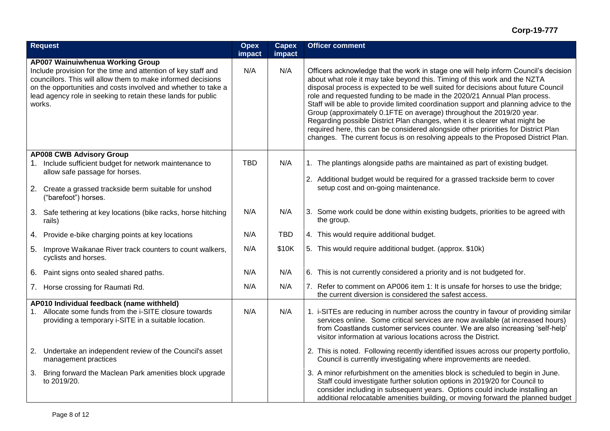|                                                                                                                                                                                                                                                                                                              | <b>Request</b>                                                                                                                                           | <b>Opex</b><br>impact | <b>Capex</b><br>impact | <b>Officer comment</b>                                                                                                                                                                                                                                                                                                                                                                                                                                                                                                                                                                                                                                                                                                                                       |  |  |  |
|--------------------------------------------------------------------------------------------------------------------------------------------------------------------------------------------------------------------------------------------------------------------------------------------------------------|----------------------------------------------------------------------------------------------------------------------------------------------------------|-----------------------|------------------------|--------------------------------------------------------------------------------------------------------------------------------------------------------------------------------------------------------------------------------------------------------------------------------------------------------------------------------------------------------------------------------------------------------------------------------------------------------------------------------------------------------------------------------------------------------------------------------------------------------------------------------------------------------------------------------------------------------------------------------------------------------------|--|--|--|
| AP007 Wainuiwhenua Working Group<br>Include provision for the time and attention of key staff and<br>councillors. This will allow them to make informed decisions<br>on the opportunities and costs involved and whether to take a<br>lead agency role in seeking to retain these lands for public<br>works. |                                                                                                                                                          | N/A                   | N/A                    | Officers acknowledge that the work in stage one will help inform Council's decision<br>about what role it may take beyond this. Timing of this work and the NZTA<br>disposal process is expected to be well suited for decisions about future Council<br>role and requested funding to be made in the 2020/21 Annual Plan process.<br>Staff will be able to provide limited coordination support and planning advice to the<br>Group (approximately 0.1FTE on average) throughout the 2019/20 year.<br>Regarding possible District Plan changes, when it is clearer what might be<br>required here, this can be considered alongside other priorities for District Plan<br>changes. The current focus is on resolving appeals to the Proposed District Plan. |  |  |  |
|                                                                                                                                                                                                                                                                                                              | <b>AP008 CWB Advisory Group</b>                                                                                                                          |                       |                        |                                                                                                                                                                                                                                                                                                                                                                                                                                                                                                                                                                                                                                                                                                                                                              |  |  |  |
|                                                                                                                                                                                                                                                                                                              | 1. Include sufficient budget for network maintenance to<br>allow safe passage for horses.                                                                | <b>TBD</b>            | N/A                    | 1. The plantings alongside paths are maintained as part of existing budget.                                                                                                                                                                                                                                                                                                                                                                                                                                                                                                                                                                                                                                                                                  |  |  |  |
|                                                                                                                                                                                                                                                                                                              |                                                                                                                                                          |                       |                        | 2. Additional budget would be required for a grassed trackside berm to cover                                                                                                                                                                                                                                                                                                                                                                                                                                                                                                                                                                                                                                                                                 |  |  |  |
|                                                                                                                                                                                                                                                                                                              | 2. Create a grassed trackside berm suitable for unshod<br>("barefoot") horses.                                                                           |                       |                        | setup cost and on-going maintenance.                                                                                                                                                                                                                                                                                                                                                                                                                                                                                                                                                                                                                                                                                                                         |  |  |  |
|                                                                                                                                                                                                                                                                                                              | 3. Safe tethering at key locations (bike racks, horse hitching<br>rails)                                                                                 | N/A                   | N/A                    | 3. Some work could be done within existing budgets, priorities to be agreed with<br>the group.                                                                                                                                                                                                                                                                                                                                                                                                                                                                                                                                                                                                                                                               |  |  |  |
|                                                                                                                                                                                                                                                                                                              | 4. Provide e-bike charging points at key locations                                                                                                       | N/A                   | <b>TBD</b>             | 4. This would require additional budget.                                                                                                                                                                                                                                                                                                                                                                                                                                                                                                                                                                                                                                                                                                                     |  |  |  |
|                                                                                                                                                                                                                                                                                                              | 5. Improve Waikanae River track counters to count walkers,<br>cyclists and horses.                                                                       | N/A                   | \$10K                  | 5. This would require additional budget. (approx. \$10k)                                                                                                                                                                                                                                                                                                                                                                                                                                                                                                                                                                                                                                                                                                     |  |  |  |
|                                                                                                                                                                                                                                                                                                              | 6. Paint signs onto sealed shared paths.                                                                                                                 | N/A                   | N/A                    | 6. This is not currently considered a priority and is not budgeted for.                                                                                                                                                                                                                                                                                                                                                                                                                                                                                                                                                                                                                                                                                      |  |  |  |
|                                                                                                                                                                                                                                                                                                              | 7. Horse crossing for Raumati Rd.                                                                                                                        | N/A                   | N/A                    | 7. Refer to comment on AP006 item 1: It is unsafe for horses to use the bridge;<br>the current diversion is considered the safest access.                                                                                                                                                                                                                                                                                                                                                                                                                                                                                                                                                                                                                    |  |  |  |
| $1_{\cdot}$                                                                                                                                                                                                                                                                                                  | AP010 Individual feedback (name withheld)<br>Allocate some funds from the i-SITE closure towards<br>providing a temporary i-SITE in a suitable location. | N/A                   | N/A                    | 1. i-SITEs are reducing in number across the country in favour of providing similar<br>services online. Some critical services are now available (at increased hours)<br>from Coastlands customer services counter. We are also increasing 'self-help'<br>visitor information at various locations across the District.                                                                                                                                                                                                                                                                                                                                                                                                                                      |  |  |  |
| 2.                                                                                                                                                                                                                                                                                                           | Undertake an independent review of the Council's asset<br>management practices                                                                           |                       |                        | 2. This is noted. Following recently identified issues across our property portfolio,<br>Council is currently investigating where improvements are needed.                                                                                                                                                                                                                                                                                                                                                                                                                                                                                                                                                                                                   |  |  |  |
| 3.                                                                                                                                                                                                                                                                                                           | Bring forward the Maclean Park amenities block upgrade<br>to 2019/20.                                                                                    |                       |                        | 3. A minor refurbishment on the amenities block is scheduled to begin in June.<br>Staff could investigate further solution options in 2019/20 for Council to<br>consider including in subsequent years. Options could include installing an<br>additional relocatable amenities building, or moving forward the planned budget                                                                                                                                                                                                                                                                                                                                                                                                                               |  |  |  |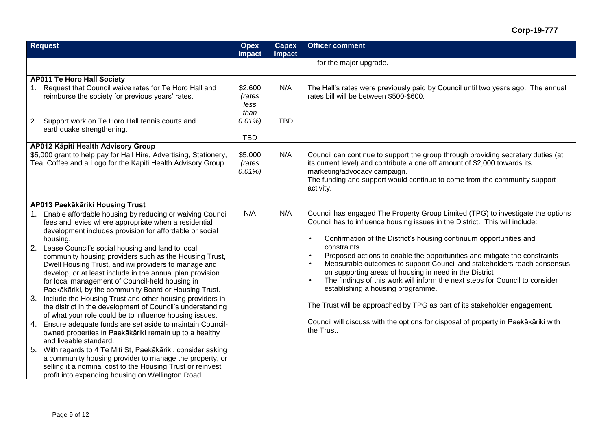## **Corp-19-777**

| <b>Request</b>                                                                                                                                                                                                                                                                                                                                                                                                                                                                                                                                                                                                                                                                                                                                                                                                                                                                                                                                                                                                                                                                                                                                                                  |                                                          | <b>Capex</b><br>impact | <b>Officer comment</b>                                                                                                                                                                                                                                                                                                                                                                                                                                                                                                                                                                                                                                                                                                                                                                                                           |  |  |  |
|---------------------------------------------------------------------------------------------------------------------------------------------------------------------------------------------------------------------------------------------------------------------------------------------------------------------------------------------------------------------------------------------------------------------------------------------------------------------------------------------------------------------------------------------------------------------------------------------------------------------------------------------------------------------------------------------------------------------------------------------------------------------------------------------------------------------------------------------------------------------------------------------------------------------------------------------------------------------------------------------------------------------------------------------------------------------------------------------------------------------------------------------------------------------------------|----------------------------------------------------------|------------------------|----------------------------------------------------------------------------------------------------------------------------------------------------------------------------------------------------------------------------------------------------------------------------------------------------------------------------------------------------------------------------------------------------------------------------------------------------------------------------------------------------------------------------------------------------------------------------------------------------------------------------------------------------------------------------------------------------------------------------------------------------------------------------------------------------------------------------------|--|--|--|
|                                                                                                                                                                                                                                                                                                                                                                                                                                                                                                                                                                                                                                                                                                                                                                                                                                                                                                                                                                                                                                                                                                                                                                                 |                                                          |                        | for the major upgrade.                                                                                                                                                                                                                                                                                                                                                                                                                                                                                                                                                                                                                                                                                                                                                                                                           |  |  |  |
| <b>AP011 Te Horo Hall Society</b><br>Request that Council waive rates for Te Horo Hall and<br>reimburse the society for previous years' rates.<br>2.<br>Support work on Te Horo Hall tennis courts and<br>earthquake strengthening.                                                                                                                                                                                                                                                                                                                                                                                                                                                                                                                                                                                                                                                                                                                                                                                                                                                                                                                                             | \$2,600<br>(rates<br>less<br>than<br>0.01%<br><b>TBD</b> | N/A<br><b>TBD</b>      | The Hall's rates were previously paid by Council until two years ago. The annual<br>rates bill will be between \$500-\$600.                                                                                                                                                                                                                                                                                                                                                                                                                                                                                                                                                                                                                                                                                                      |  |  |  |
| AP012 Kāpiti Health Advisory Group<br>\$5,000 grant to help pay for Hall Hire, Advertising, Stationery,<br>Tea, Coffee and a Logo for the Kapiti Health Advisory Group.                                                                                                                                                                                                                                                                                                                                                                                                                                                                                                                                                                                                                                                                                                                                                                                                                                                                                                                                                                                                         | \$5,000<br>(rates<br>0.01%                               | N/A                    | Council can continue to support the group through providing secretary duties (at<br>its current level) and contribute a one off amount of \$2,000 towards its<br>marketing/advocacy campaign.<br>The funding and support would continue to come from the community support<br>activity.                                                                                                                                                                                                                                                                                                                                                                                                                                                                                                                                          |  |  |  |
| AP013 Paekākāriki Housing Trust<br>Enable affordable housing by reducing or waiving Council<br>fees and levies where appropriate when a residential<br>development includes provision for affordable or social<br>housing.<br>2. Lease Council's social housing and land to local<br>community housing providers such as the Housing Trust,<br>Dwell Housing Trust, and iwi providers to manage and<br>develop, or at least include in the annual plan provision<br>for local management of Council-held housing in<br>Paekākāriki, by the community Board or Housing Trust.<br>Include the Housing Trust and other housing providers in<br>3.<br>the district in the development of Council's understanding<br>of what your role could be to influence housing issues.<br>Ensure adequate funds are set aside to maintain Council-<br>4.<br>owned properties in Paekākāriki remain up to a healthy<br>and liveable standard.<br>5.<br>With regards to 4 Te Miti St, Paekākāriki, consider asking<br>a community housing provider to manage the property, or<br>selling it a nominal cost to the Housing Trust or reinvest<br>profit into expanding housing on Wellington Road. | N/A                                                      | N/A                    | Council has engaged The Property Group Limited (TPG) to investigate the options<br>Council has to influence housing issues in the District. This will include:<br>Confirmation of the District's housing continuum opportunities and<br>$\bullet$<br>constraints<br>Proposed actions to enable the opportunities and mitigate the constraints<br>$\bullet$<br>Measurable outcomes to support Council and stakeholders reach consensus<br>$\bullet$<br>on supporting areas of housing in need in the District<br>The findings of this work will inform the next steps for Council to consider<br>$\bullet$<br>establishing a housing programme.<br>The Trust will be approached by TPG as part of its stakeholder engagement.<br>Council will discuss with the options for disposal of property in Paekākāriki with<br>the Trust. |  |  |  |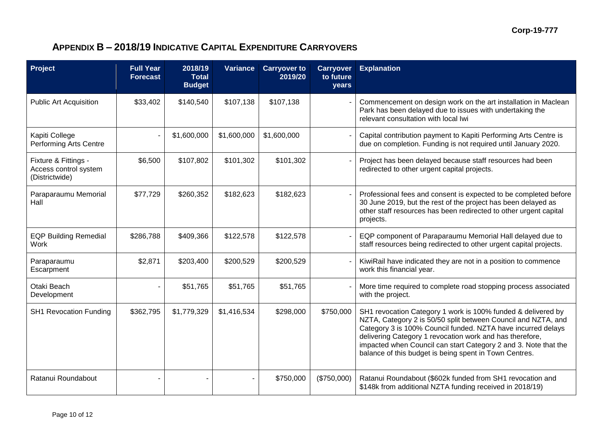# **APPENDIX B – 2018/19 INDICATIVE CAPITAL EXPENDITURE CARRYOVERS**

| Project                                                         | <b>Full Year</b><br><b>Forecast</b> | 2018/19<br><b>Total</b><br><b>Budget</b> | <b>Variance</b> | <b>Carryover to</b><br>2019/20 | <b>Carryover</b><br>to future<br>years | <b>Explanation</b>                                                                                                                                                                                                                                                                                                                                                                     |
|-----------------------------------------------------------------|-------------------------------------|------------------------------------------|-----------------|--------------------------------|----------------------------------------|----------------------------------------------------------------------------------------------------------------------------------------------------------------------------------------------------------------------------------------------------------------------------------------------------------------------------------------------------------------------------------------|
| <b>Public Art Acquisition</b>                                   | \$33,402                            | \$140,540                                | \$107,138       | \$107,138                      |                                        | Commencement on design work on the art installation in Maclean<br>Park has been delayed due to issues with undertaking the<br>relevant consultation with local Iwi                                                                                                                                                                                                                     |
| Kapiti College<br>Performing Arts Centre                        |                                     | \$1,600,000                              | \$1,600,000     | \$1,600,000                    |                                        | Capital contribution payment to Kapiti Performing Arts Centre is<br>due on completion. Funding is not required until January 2020.                                                                                                                                                                                                                                                     |
| Fixture & Fittings -<br>Access control system<br>(Districtwide) | \$6,500                             | \$107,802                                | \$101,302       | \$101,302                      |                                        | Project has been delayed because staff resources had been<br>redirected to other urgent capital projects.                                                                                                                                                                                                                                                                              |
| Paraparaumu Memorial<br>Hall                                    | \$77,729                            | \$260,352                                | \$182,623       | \$182,623                      |                                        | Professional fees and consent is expected to be completed before<br>30 June 2019, but the rest of the project has been delayed as<br>other staff resources has been redirected to other urgent capital<br>projects.                                                                                                                                                                    |
| <b>EQP Building Remedial</b><br><b>Work</b>                     | \$286,788                           | \$409,366                                | \$122,578       | \$122,578                      |                                        | EQP component of Paraparaumu Memorial Hall delayed due to<br>staff resources being redirected to other urgent capital projects.                                                                                                                                                                                                                                                        |
| Paraparaumu<br>Escarpment                                       | \$2,871                             | \$203,400                                | \$200,529       | \$200,529                      |                                        | KiwiRail have indicated they are not in a position to commence<br>work this financial year.                                                                                                                                                                                                                                                                                            |
| Otaki Beach<br>Development                                      |                                     | \$51,765                                 | \$51,765        | \$51,765                       |                                        | More time required to complete road stopping process associated<br>with the project.                                                                                                                                                                                                                                                                                                   |
| <b>SH1 Revocation Funding</b>                                   | \$362,795                           | \$1,779,329                              | \$1,416,534     | \$298,000                      | \$750,000                              | SH1 revocation Category 1 work is 100% funded & delivered by<br>NZTA, Category 2 is 50/50 split between Council and NZTA, and<br>Category 3 is 100% Council funded. NZTA have incurred delays<br>delivering Category 1 revocation work and has therefore,<br>impacted when Council can start Category 2 and 3. Note that the<br>balance of this budget is being spent in Town Centres. |
| Ratanui Roundabout                                              |                                     |                                          |                 | \$750,000                      | (\$750,000)                            | Ratanui Roundabout (\$602k funded from SH1 revocation and<br>\$148k from additional NZTA funding received in 2018/19)                                                                                                                                                                                                                                                                  |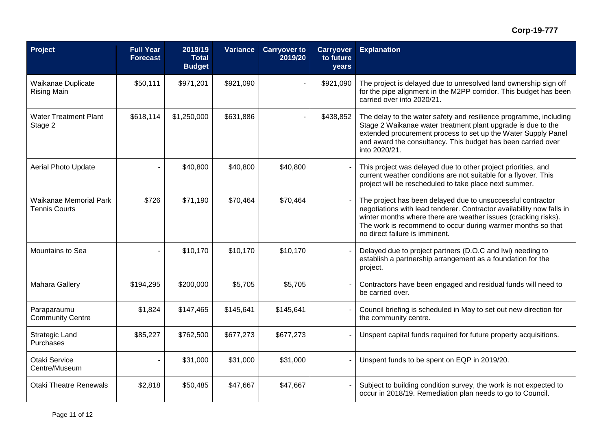## **Corp-19-777**

| Project                                               | <b>Full Year</b><br><b>Forecast</b> | 2018/19<br><b>Total</b><br><b>Budget</b> | Variance  | <b>Carryover to</b><br>2019/20 | <b>Carryover</b><br>to future<br>years | <b>Explanation</b>                                                                                                                                                                                                                                                                                      |
|-------------------------------------------------------|-------------------------------------|------------------------------------------|-----------|--------------------------------|----------------------------------------|---------------------------------------------------------------------------------------------------------------------------------------------------------------------------------------------------------------------------------------------------------------------------------------------------------|
| Waikanae Duplicate<br><b>Rising Main</b>              | \$50,111                            | \$971,201                                | \$921,090 |                                | \$921,090                              | The project is delayed due to unresolved land ownership sign off<br>for the pipe alignment in the M2PP corridor. This budget has been<br>carried over into 2020/21.                                                                                                                                     |
| <b>Water Treatment Plant</b><br>Stage 2               | \$618,114                           | \$1,250,000                              | \$631,886 |                                | \$438,852                              | The delay to the water safety and resilience programme, including<br>Stage 2 Waikanae water treatment plant upgrade is due to the<br>extended procurement process to set up the Water Supply Panel<br>and award the consultancy. This budget has been carried over<br>into 2020/21.                     |
| <b>Aerial Photo Update</b>                            |                                     | \$40,800                                 | \$40,800  | \$40,800                       |                                        | This project was delayed due to other project priorities, and<br>current weather conditions are not suitable for a flyover. This<br>project will be rescheduled to take place next summer.                                                                                                              |
| <b>Waikanae Memorial Park</b><br><b>Tennis Courts</b> | \$726                               | \$71,190                                 | \$70,464  | \$70,464                       |                                        | The project has been delayed due to unsuccessful contractor<br>negotiations with lead tenderer. Contractor availability now falls in<br>winter months where there are weather issues (cracking risks).<br>The work is recommend to occur during warmer months so that<br>no direct failure is imminent. |
| Mountains to Sea                                      |                                     | \$10,170                                 | \$10,170  | \$10,170                       |                                        | Delayed due to project partners (D.O.C and Iwi) needing to<br>establish a partnership arrangement as a foundation for the<br>project.                                                                                                                                                                   |
| Mahara Gallery                                        | \$194,295                           | \$200,000                                | \$5,705   | \$5,705                        |                                        | Contractors have been engaged and residual funds will need to<br>be carried over.                                                                                                                                                                                                                       |
| Paraparaumu<br><b>Community Centre</b>                | \$1,824                             | \$147,465                                | \$145,641 | \$145,641                      |                                        | Council briefing is scheduled in May to set out new direction for<br>the community centre.                                                                                                                                                                                                              |
| <b>Strategic Land</b><br>Purchases                    | \$85,227                            | \$762,500                                | \$677,273 | \$677,273                      |                                        | Unspent capital funds required for future property acquisitions.                                                                                                                                                                                                                                        |
| Otaki Service<br>Centre/Museum                        |                                     | \$31,000                                 | \$31,000  | \$31,000                       |                                        | Unspent funds to be spent on EQP in 2019/20.                                                                                                                                                                                                                                                            |
| <b>Otaki Theatre Renewals</b>                         | \$2,818                             | \$50,485                                 | \$47,667  | \$47,667                       |                                        | Subject to building condition survey, the work is not expected to<br>occur in 2018/19. Remediation plan needs to go to Council.                                                                                                                                                                         |